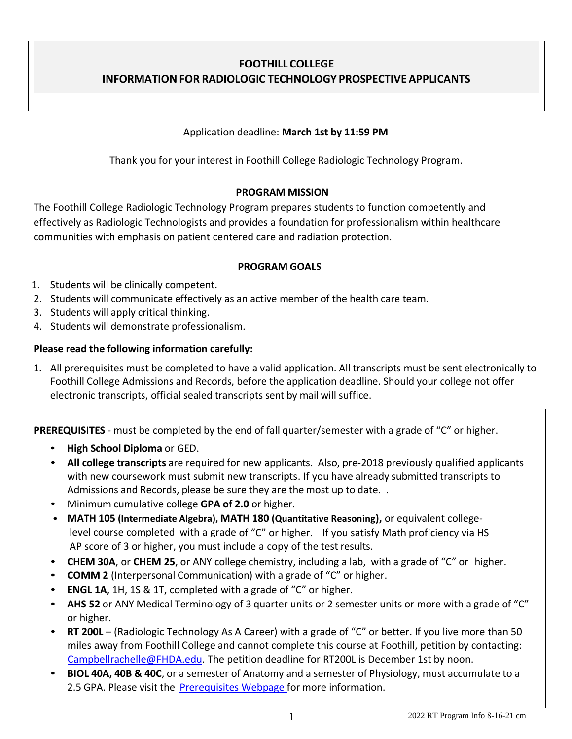# **FOOTHILL COLLEGE INFORMATIONFOR RADIOLOGIC TECHNOLOGY PROSPECTIVE APPLICANTS**

### Application deadline: **March 1st by 11:59 PM**

Thank you for your interest in Foothill College Radiologic Technology Program.

### **PROGRAM MISSION**

The Foothill College Radiologic Technology Program prepares students to function competently and effectively as Radiologic Technologists and provides a foundation for professionalism within healthcare communities with emphasis on patient centered care and radiation protection.

### **PROGRAM GOALS**

- 1. Students will be clinically competent.
- 2. Students will communicate effectively as an active member of the health care team.
- 3. Students will apply critical thinking.
- 4. Students will demonstrate professionalism.

### **Please read the following information carefully:**

1. All prerequisites must be completed to have a valid application. All transcripts must be sent electronically to Foothill College Admissions and Records, before the application deadline. Should your college not offer electronic transcripts, official sealed transcripts sent by mail will suffice.

**PREREQUISITES** - must be completed by the end of fall quarter/semester with a grade of "C" or higher.

- **High School Diploma** or GED.
- **All college transcripts** are required for new applicants. Also, pre-2018 previously qualified applicants with new coursework must submit new transcripts. If you have already submitted transcripts to Admissions and Records, please be sure they are the most up to date. .
- Minimum cumulative college **GPA of 2.0** or higher.
- **MATH 105 (Intermediate Algebra), MATH 180 (Quantitative Reasoning),** or equivalent collegelevel course completed with a grade of "C" or higher. If you satisfy Math proficiency via HS AP score of 3 or higher, you must include a copy of the test results.
- **CHEM 30A**, or **CHEM 25**, or ANY college chemistry, including a lab, with a grade of "C" or higher.
- **COMM 2** (Interpersonal Communication) with a grade of "C" or higher.
- **ENGL 1A**, 1H, 1S & 1T, completed with a grade of "C" or higher.
- **AHS 52** or ANY Medical Terminology of 3 quarter units or 2 semester units or more with a grade of "C" or higher.
- **RT 200L** (Radiologic Technology As A Career) with a grade of "C" or better. If you live more than 50 miles away from Foothill College and cannot complete this course at Foothill, petition by contacting: [Campbellrachelle@FHDA.edu.](mailto:Campbellrachelle@FHDA.edu) The petition deadline for RT200L is December 1st by noon.
- **BIOL 40A, 40B & 40C**, or a semester of Anatomy and a semester of Physiology, must accumulate to a 2.5 GPA. Please visit the [Prerequisites](https://foothill.edu/radtech/prereq.html) Webpage for more information.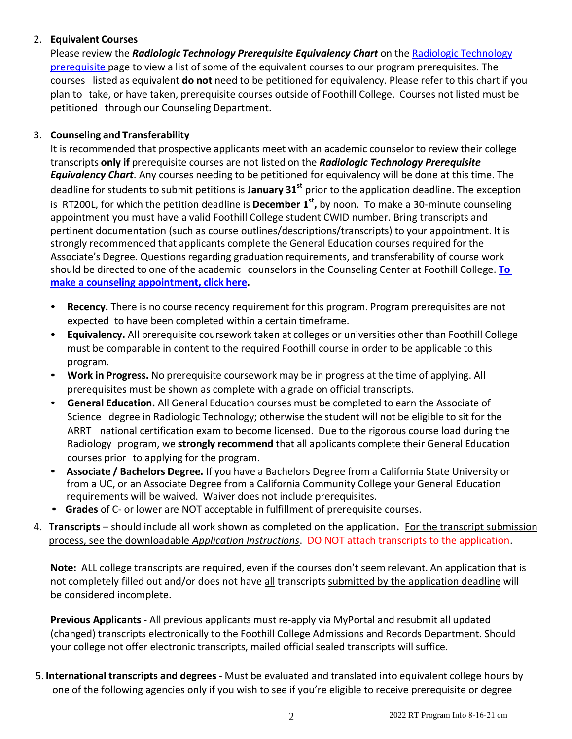## 2. **Equivalent Courses**

Please review the *Radiologic Technology Prerequisite Equivalency Chart* on the Radiologic [Technology](https://foothill.edu/radtech/prereq.html) [prerequisite](https://foothill.edu/radtech/prereq.html) page to view a list of some of the equivalent courses to our program prerequisites. The courses listed as equivalent **do not** need to be petitioned for equivalency. Please refer to this chart if you plan to take, or have taken, prerequisite courses outside of Foothill College. Courses not listed must be petitioned through our Counseling Department.

# 3. **Counseling and Transferability**

It is recommended that prospective applicants meet with an academic counselor to review their college transcripts **only if** prerequisite courses are not listed on the *Radiologic Technology Prerequisite Equivalency Chart*. Any courses needing to be petitioned for equivalency will be done at this time. The deadline for students to submit petitions is **January 31st** prior to the application deadline. The exception is RT200L, for which the petition deadline is **December 1 st ,** by noon. To make a 30-minute counseling appointment you must have a valid Foothill College student CWID number. Bring transcripts and pertinent documentation (such as course outlines/descriptions/transcripts) to your appointment. It is strongly recommended that applicants complete the General Education courses required for the Associate's Degree. Questions regarding graduation requirements, and transferability of course work should be directed to one of the academic counselors in the Counseling Center at Foothill College. **[To](https://foothill.edu/counseling/counselappt.html) make a counseling [appointment,](https://foothill.edu/counseling/counselappt.html) click here.**

- **Recency.** There is no course recency requirement for this program. Program prerequisites are not expected to have been completed within a certain timeframe.
- **Equivalency.** All prerequisite coursework taken at colleges or universities other than Foothill College must be comparable in content to the required Foothill course in order to be applicable to this program.
- **Work in Progress.** No prerequisite coursework may be in progress at the time of applying. All prerequisites must be shown as complete with a grade on official transcripts.
- **General Education.** All General Education courses must be completed to earn the Associate of Science degree in Radiologic Technology; otherwise the student will not be eligible to sit for the ARRT national certification exam to become licensed. Due to the rigorous course load during the Radiology program, we **strongly recommend** that all applicants complete their General Education courses prior to applying for the program.
- **Associate / Bachelors Degree.** If you have a Bachelors Degree from a California State University or from a UC, or an Associate Degree from a California Community College your General Education requirements will be waived. Waiver does not include prerequisites.
- **Grades** of C- or lower are NOT acceptable in fulfillment of prerequisite courses.
- 4. **Transcripts** should include all work shown as completed on the application**.** For the transcript submission process, see the downloadable *Application Instructions*. DO NOT attach transcripts to the application.

**Note:** ALL college transcripts are required, even if the courses don't seem relevant. An application that is not completely filled out and/or does not have all transcripts submitted by the application deadline will be considered incomplete.

**Previous Applicants** - All previous applicants must re-apply via MyPortal and resubmit all updated (changed) transcripts electronically to the Foothill College Admissions and Records Department. Should your college not offer electronic transcripts, mailed official sealed transcripts will suffice.

5. **International transcripts and degrees** - Must be evaluated and translated into equivalent college hours by one of the following agencies only if you wish to see if you're eligible to receive prerequisite or degree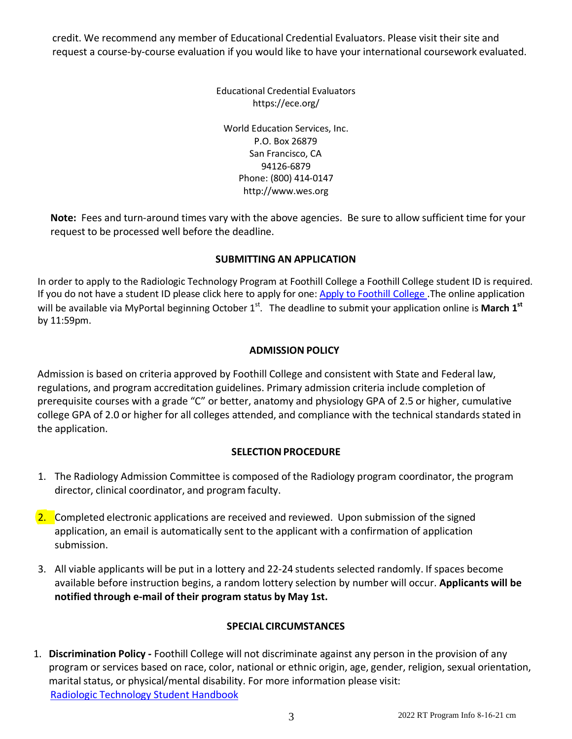credit. We recommend any member of Educational Credential Evaluators. Please visit their site and request a course-by-course evaluation if you would like to have your international coursework evaluated.

> Educational Credential Evaluators https://ece.org/ World Education Services, Inc. P.O. Box 26879 San Francisco, CA 94126-6879 Phone: (800) 414-0147 [http://www.wes.org](http://www.wes.org/)

**Note:** Fees and turn-around times vary with the above agencies. Be sure to allow sufficient time for your request to be processed well before the deadline.

# **SUBMITTING AN APPLICATION**

In order to apply to the Radiologic Technology Program at Foothill College a Foothill College student ID is required. If you do not have a student ID please click here to apply for one: Apply to [Foothill](https://foothill.edu/reg/) College. The online application will be available via MyPortal beginning October 1<sup>st</sup>. The deadline to submit your application online is March 1<sup>st</sup> by 11:59pm.

# **ADMISSION POLICY**

Admission is based on criteria approved by Foothill College and consistent with State and Federal law, regulations, and program accreditation guidelines. Primary admission criteria include completion of prerequisite courses with a grade "C" or better, anatomy and physiology GPA of 2.5 or higher, cumulative college GPA of 2.0 or higher for all colleges attended, and compliance with the technical standards stated in the application.

# **SELECTION PROCEDURE**

- 1. The Radiology Admission Committee is composed of the Radiology program coordinator, the program director, clinical coordinator, and program faculty.
- 2. Completed electronic applications are received and reviewed. Upon submission of the signed application, an email is automatically sent to the applicant with a confirmation of application submission.
- 3. All viable applicants will be put in a lottery and 22-24 students selected randomly. If spaces become available before instruction begins, a random lottery selection by number will occur. **Applicants will be notified through e-mail of their program status by May 1st.**

# **SPECIAL CIRCUMSTANCES**

1. **Discrimination Policy -** Foothill College will not discriminate against any person in the provision of any program or services based on race, color, national or ethnic origin, age, gender, religion, sexual orientation, marital status, or physical/mental disability. For more information please visit: Radiologic [Technology](http://www.foothill.edu/bio/programs/radtech/handbooks.php) Student Handbook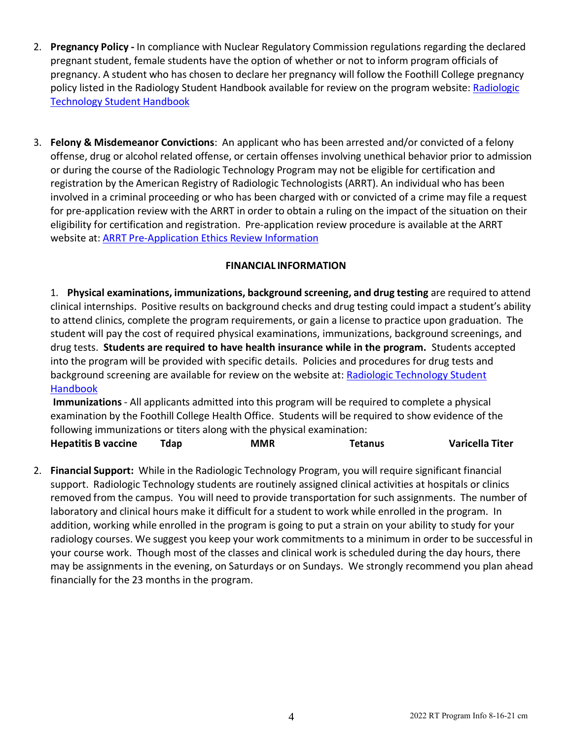- 2. **Pregnancy Policy -** In compliance with Nuclear Regulatory Commission regulations regarding the declared pregnant student, female students have the option of whether or not to inform program officials of pregnancy. A student who has chosen to declare her pregnancy will follow the Foothill College pregnancy policy listed in the Radiology Student Handbook available for review on the program website: [Radiologic](http://www.foothill.edu/bio/programs/radtech/handbooks.php) [Technology](http://www.foothill.edu/bio/programs/radtech/handbooks.php) Student Handbook
- 3. **Felony & Misdemeanor Convictions**: An applicant who has been arrested and/or convicted of a felony offense, drug or alcohol related offense, or certain offenses involving unethical behavior prior to admission or during the course of the Radiologic Technology Program may not be eligible for certification and registration by the American Registry of Radiologic Technologists (ARRT). An individual who has been involved in a criminal proceeding or who has been charged with or convicted of a crime may file a request for pre-application review with the ARRT in order to obtain a ruling on the impact of the situation on their eligibility for certification and registration. Pre-application review procedure is available at the ARRT website at: ARRT [Pre-Application](https://www.arrt.org/earn-arrt-credentials/requirements/ethics-requirements/ethics-review-preapplication) Ethics Review Information

## **FINANCIAL INFORMATION**

1. **Physical examinations, immunizations, background screening, and drug testing** are required to attend clinical internships. Positive results on background checks and drug testing could impact a student's ability to attend clinics, complete the program requirements, or gain a license to practice upon graduation. The student will pay the cost of required physical examinations, immunizations, background screenings, and drug tests. **Students are required to have health insurance while in the program.** Students accepted into the program will be provided with specific details. Policies and procedures for drug tests [and](http://www.foothill.edu/bio/programs/radtech/handbooks.php) [background](http://www.foothill.edu/bio/programs/radtech/handbooks.php) screening are available for review on the website at: Radiologic Technology Student Handbook

**Immunizations**- All applicants admitted into this program will be required to complete a physical examination by the Foothill College Health Office. Students will be required to show evidence of the following immunizations or titers along with the physical examination:

**Hepatitis B vaccine Tdap MMR Tetanus Varicella Titer**

2. **Financial Support:** While in the Radiologic Technology Program, you will require significant financial support. Radiologic Technology students are routinely assigned clinical activities at hospitals or clinics removed from the campus. You will need to provide transportation for such assignments. The number of laboratory and clinical hours make it difficult for a student to work while enrolled in the program. In addition, working while enrolled in the program is going to put a strain on your ability to study for your radiology courses. We suggest you keep your work commitments to a minimum in order to be successful in your course work. Though most of the classes and clinical work is scheduled during the day hours, there may be assignments in the evening, on Saturdays or on Sundays. We strongly recommend you plan ahead financially for the 23 months in the program.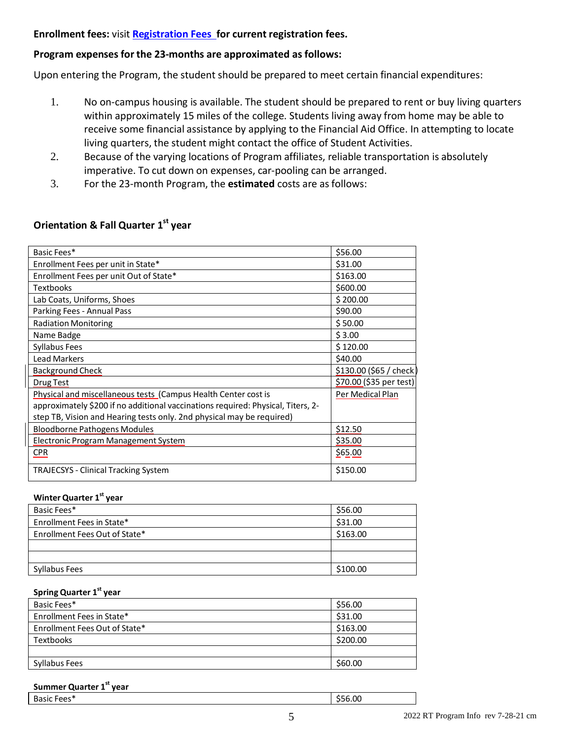#### **Enrollment fees:** visit **[Registration Fees](http://www.foothill.edu/reg/fees.php) for current registration fees.**

#### **Program expenses for the 23-months are approximated as follows:**

Upon entering the Program, the student should be prepared to meet certain financial expenditures:

- 1. No on-campus housing is available. The student should be prepared to rent or buy living quarters within approximately 15 miles of the college. Students living away from home may be able to receive some financial assistance by applying to the Financial Aid Office. In attempting to locate living quarters, the student might contact the office of Student Activities.
- 2. Because of the varying locations of Program affiliates, reliable transportation is absolutely imperative. To cut down on expenses, car-pooling can be arranged.
- 3. For the 23-month Program, the **estimated** costs are asfollows:

| Basic Fees*                                                                      | \$56.00                 |
|----------------------------------------------------------------------------------|-------------------------|
| Enrollment Fees per unit in State*                                               | \$31.00                 |
| Enrollment Fees per unit Out of State*                                           | \$163.00                |
| <b>Textbooks</b>                                                                 | \$600.00                |
| Lab Coats, Uniforms, Shoes                                                       | \$200.00                |
| Parking Fees - Annual Pass                                                       | \$90.00                 |
| <b>Radiation Monitoring</b>                                                      | \$50.00                 |
| Name Badge                                                                       | \$3.00                  |
| Syllabus Fees                                                                    | \$120.00                |
| <b>Lead Markers</b>                                                              | \$40.00                 |
| Background Check                                                                 | \$130.00 (\$65 / check  |
| Drug Test                                                                        | \$70.00 (\$35 per test) |
| Physical and miscellaneous tests (Campus Health Center cost is                   | Per Medical Plan        |
| approximately \$200 if no additional vaccinations required: Physical, Titers, 2- |                         |
| step TB, Vision and Hearing tests only. 2nd physical may be required)            |                         |
| <b>Bloodborne Pathogens Modules</b>                                              | \$12.50                 |
| Electronic Program Management System                                             | \$35.00                 |
| <b>CPR</b>                                                                       | \$65.00                 |
| <b>TRAJECSYS - Clinical Tracking System</b>                                      | \$150.00                |

# **Orientation & Fall Quarter 1 st year**

#### **Winter Quarter 1 st year**

| Basic Fees*                   | \$56.00  |
|-------------------------------|----------|
| Enrollment Fees in State*     | \$31.00  |
| Enrollment Fees Out of State* | \$163.00 |
|                               |          |
|                               |          |
| Syllabus Fees                 | \$100.00 |

#### **Spring Quarter 1 st year**

| Basic Fees*                   | \$56.00  |
|-------------------------------|----------|
| Enrollment Fees in State*     | \$31.00  |
| Enrollment Fees Out of State* | \$163.00 |
| <b>Textbooks</b>              | \$200.00 |
|                               |          |
| Syllabus Fees                 | \$60.00  |

#### **Summer Quarter 1 st year**

| $\sim$<br>*ءمم∙<br>DANIL.<br>ں ب<br>- - - | .00 |
|-------------------------------------------|-----|
|                                           |     |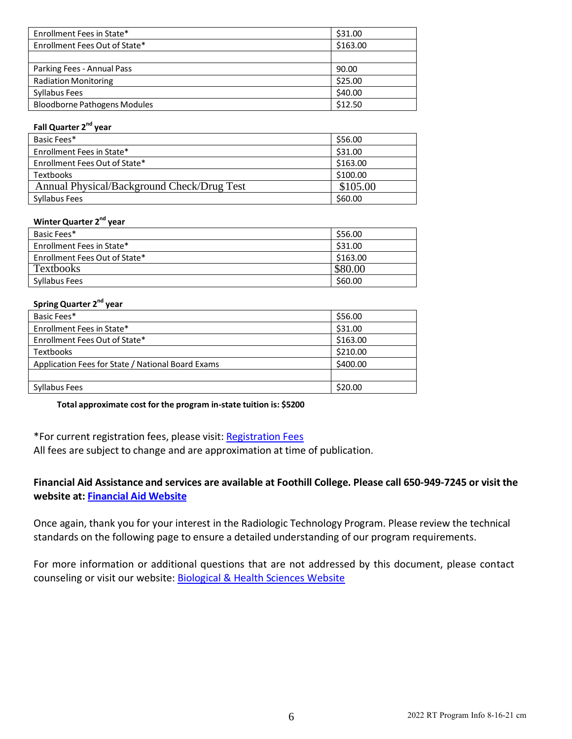| Enrollment Fees in State*           | \$31.00  |
|-------------------------------------|----------|
| Enrollment Fees Out of State*       | \$163.00 |
|                                     |          |
| Parking Fees - Annual Pass          | 90.00    |
| <b>Radiation Monitoring</b>         | \$25.00  |
| Syllabus Fees                       | \$40.00  |
| <b>Bloodborne Pathogens Modules</b> | \$12.50  |

#### **Fall Quarter 2<sup>nd</sup> year**

| Basic Fees*                                | \$56.00  |
|--------------------------------------------|----------|
| Enrollment Fees in State*                  | \$31.00  |
| Enrollment Fees Out of State*              | \$163.00 |
| <b>Textbooks</b>                           | \$100.00 |
| Annual Physical/Background Check/Drug Test | \$105.00 |
| Syllabus Fees                              | \$60.00  |

#### **Winter Quarter 2 nd year**

| Basic Fees*                   | \$56.00  |
|-------------------------------|----------|
| Enrollment Fees in State*     | \$31.00  |
| Enrollment Fees Out of State* | \$163.00 |
| <b>Textbooks</b>              | \$80.00  |
| Syllabus Fees                 | \$60.00  |

#### **Spring Quarter 2<sup>nd</sup> year**

| Basic Fees*                                       | \$56.00  |
|---------------------------------------------------|----------|
| Enrollment Fees in State*                         | \$31.00  |
| Enrollment Fees Out of State*                     | \$163.00 |
| Textbooks                                         | \$210.00 |
| Application Fees for State / National Board Exams | \$400.00 |
|                                                   |          |
| Syllabus Fees                                     | \$20.00  |

**Total approximate cost for the program in-state tuition is: \$5200**

\*For current registration fees, please visit: [Registration](http://www.foothill.edu/reg/fees.php) Fees

All fees are subject to change and are approximation at time of publication.

### **Financial Aid Assistance and services are available at Foothill College. Please call 650-949-7245 or visit the website at: [Financial](http://www.foothill.edu/aid/) Aid Website**

Once again, thank you for your interest in the Radiologic Technology Program. Please review the technical standards on the following page to ensure a detailed understanding of our program requirements.

For more information or additional questions that are not addressed by this document, please contact counseling or visit our website: Biological & Health Sciences Website